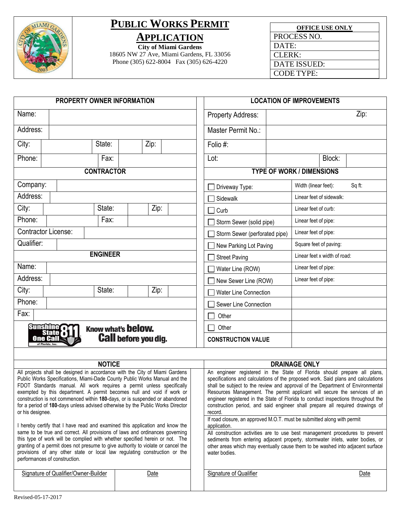

## **PUBLIC WORKS PERMIT APPLICATION**

**City of Miami Gardens**

18605 NW 27 Ave, Miami Gardens, FL 33056 Phone (305) 622-8004 Fax (305) 626-4220

| <b>OFFICE USE ONLY</b> |
|------------------------|
| PROCESS NO.            |
| DATE:                  |
| CLERK:                 |
| DATE ISSUED:           |
| CODE TYPE:             |

|                  | <b>PROPERTY OWNER INFORMATION</b>                                                                                                                                                                                                                                                                                                                                                                                                              |                   |                             |      |  |                                                                                                                                                                                                                                                                                                                                                                                                                                   | <b>LOCATION OF IMPROVEMENTS</b>  |                              |        |
|------------------|------------------------------------------------------------------------------------------------------------------------------------------------------------------------------------------------------------------------------------------------------------------------------------------------------------------------------------------------------------------------------------------------------------------------------------------------|-------------------|-----------------------------|------|--|-----------------------------------------------------------------------------------------------------------------------------------------------------------------------------------------------------------------------------------------------------------------------------------------------------------------------------------------------------------------------------------------------------------------------------------|----------------------------------|------------------------------|--------|
| Name:            |                                                                                                                                                                                                                                                                                                                                                                                                                                                |                   |                             |      |  | <b>Property Address:</b>                                                                                                                                                                                                                                                                                                                                                                                                          |                                  |                              | Zip:   |
| Address:         |                                                                                                                                                                                                                                                                                                                                                                                                                                                |                   |                             |      |  | Master Permit No.:                                                                                                                                                                                                                                                                                                                                                                                                                |                                  |                              |        |
| City:            |                                                                                                                                                                                                                                                                                                                                                                                                                                                | State:            |                             | Zip: |  | Folio #:                                                                                                                                                                                                                                                                                                                                                                                                                          |                                  |                              |        |
| Phone:           |                                                                                                                                                                                                                                                                                                                                                                                                                                                | Fax:              |                             |      |  | Lot:                                                                                                                                                                                                                                                                                                                                                                                                                              |                                  | Block:                       |        |
|                  |                                                                                                                                                                                                                                                                                                                                                                                                                                                | <b>CONTRACTOR</b> |                             |      |  |                                                                                                                                                                                                                                                                                                                                                                                                                                   | <b>TYPE OF WORK / DIMENSIONS</b> |                              |        |
| Company:         |                                                                                                                                                                                                                                                                                                                                                                                                                                                |                   |                             |      |  | Driveway Type:                                                                                                                                                                                                                                                                                                                                                                                                                    | Width (linear feet):             |                              | Sq ft: |
| Address:         |                                                                                                                                                                                                                                                                                                                                                                                                                                                |                   |                             |      |  | Sidewalk                                                                                                                                                                                                                                                                                                                                                                                                                          |                                  | Linear feet of sidewalk:     |        |
| City:            |                                                                                                                                                                                                                                                                                                                                                                                                                                                | State:            |                             | Zip: |  | Curb                                                                                                                                                                                                                                                                                                                                                                                                                              | Linear feet of curb:             |                              |        |
| Phone:           |                                                                                                                                                                                                                                                                                                                                                                                                                                                | Fax:              |                             |      |  | Storm Sewer (solid pipe)                                                                                                                                                                                                                                                                                                                                                                                                          | Linear feet of pipe:             |                              |        |
|                  | <b>Contractor License:</b>                                                                                                                                                                                                                                                                                                                                                                                                                     |                   |                             |      |  | Storm Sewer (perforated pipe)                                                                                                                                                                                                                                                                                                                                                                                                     | Linear feet of pipe:             |                              |        |
| Qualifier:       |                                                                                                                                                                                                                                                                                                                                                                                                                                                |                   |                             |      |  | New Parking Lot Paving                                                                                                                                                                                                                                                                                                                                                                                                            | Square feet of paving:           |                              |        |
|                  |                                                                                                                                                                                                                                                                                                                                                                                                                                                | <b>ENGINEER</b>   |                             |      |  | <b>Street Paving</b>                                                                                                                                                                                                                                                                                                                                                                                                              |                                  | Linear feet x width of road: |        |
| Name:            |                                                                                                                                                                                                                                                                                                                                                                                                                                                |                   |                             |      |  | Water Line (ROW)                                                                                                                                                                                                                                                                                                                                                                                                                  | Linear feet of pipe:             |                              |        |
| Address:         |                                                                                                                                                                                                                                                                                                                                                                                                                                                |                   |                             |      |  | New Sewer Line (ROW)                                                                                                                                                                                                                                                                                                                                                                                                              | Linear feet of pipe:             |                              |        |
| City:            |                                                                                                                                                                                                                                                                                                                                                                                                                                                | State:            |                             | Zip: |  | <b>Water Line Connection</b>                                                                                                                                                                                                                                                                                                                                                                                                      |                                  |                              |        |
| Phone:           |                                                                                                                                                                                                                                                                                                                                                                                                                                                |                   |                             |      |  | Sewer Line Connection                                                                                                                                                                                                                                                                                                                                                                                                             |                                  |                              |        |
| Fax:             |                                                                                                                                                                                                                                                                                                                                                                                                                                                |                   |                             |      |  | Other                                                                                                                                                                                                                                                                                                                                                                                                                             |                                  |                              |        |
|                  | <b>Sunshine</b>                                                                                                                                                                                                                                                                                                                                                                                                                                |                   | Know what's below.          |      |  | Other                                                                                                                                                                                                                                                                                                                                                                                                                             |                                  |                              |        |
|                  | One Call<br>of Florida, Inc.                                                                                                                                                                                                                                                                                                                                                                                                                   |                   | <b>Call before you dig.</b> |      |  | <b>CONSTRUCTION VALUE</b>                                                                                                                                                                                                                                                                                                                                                                                                         |                                  |                              |        |
|                  |                                                                                                                                                                                                                                                                                                                                                                                                                                                |                   |                             |      |  |                                                                                                                                                                                                                                                                                                                                                                                                                                   |                                  |                              |        |
|                  | All projects shall be designed in accordance with the City of Miami Gardens                                                                                                                                                                                                                                                                                                                                                                    | <b>NOTICE</b>     |                             |      |  | An engineer registered in the State of Florida should prepare all plans,                                                                                                                                                                                                                                                                                                                                                          | <b>DRAINAGE ONLY</b>             |                              |        |
| or his designee. | Public Works Specifications, Miami-Dade County Public Works Manual and the<br>FDOT Standards manual. All work requires a permit unless specifically<br>exempted by this department. A permit becomes null and void if work or<br>construction is not commenced within 180-days, or is suspended or abandoned<br>for a period of 180-days unless advised otherwise by the Public Works Director                                                 |                   |                             |      |  | specifications and calculations of the proposed work. Said plans and calculations<br>shall be subject to the review and approval of the Department of Environmental<br>Resources Management. The permit applicant will secure the services of an<br>engineer registered in the State of Florida to conduct inspections throughout the<br>construction period, and said engineer shall prepare all required drawings of<br>record. |                                  |                              |        |
|                  | I hereby certify that I have read and examined this application and know the<br>same to be true and correct. All provisions of laws and ordinances governing<br>this type of work will be complied with whether specified herein or not. The<br>granting of a permit does not presume to give authority to violate or cancel the<br>provisions of any other state or local law regulating construction or the<br>performances of construction. |                   |                             |      |  | If road closure, an approved M.O.T. must be submitted along with permit<br>application.<br>All construction activities are to use best management procedures to prevent<br>sediments from entering adjacent property, stormwater inlets, water bodies, or<br>other areas which may eventually cause them to be washed into adjacent surface<br>water bodies.                                                                      |                                  |                              |        |
|                  | Signature of Qualifier/Owner-Builder                                                                                                                                                                                                                                                                                                                                                                                                           |                   |                             | Date |  | Signature of Qualifier                                                                                                                                                                                                                                                                                                                                                                                                            |                                  |                              | Date   |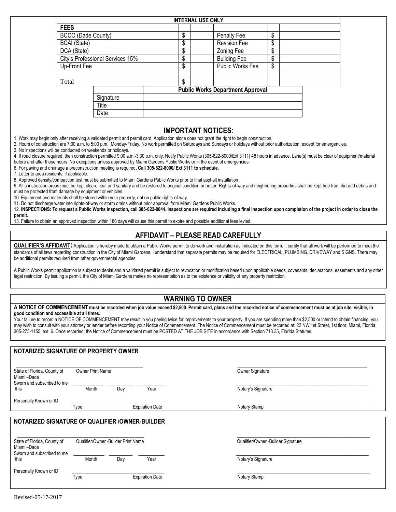|                                             |                                                                                                                                                                                                                                                                                                                                                    |    | <b>INTERNAL USE ONLY</b>  |                                          |    |  |
|---------------------------------------------|----------------------------------------------------------------------------------------------------------------------------------------------------------------------------------------------------------------------------------------------------------------------------------------------------------------------------------------------------|----|---------------------------|------------------------------------------|----|--|
|                                             | <b>FEES</b>                                                                                                                                                                                                                                                                                                                                        |    |                           |                                          |    |  |
|                                             | BCCO (Dade County)                                                                                                                                                                                                                                                                                                                                 | \$ |                           | <b>Penalty Fee</b>                       | \$ |  |
|                                             | <b>BCAI</b> (State)                                                                                                                                                                                                                                                                                                                                | \$ |                           | <b>Revision Fee</b>                      | \$ |  |
|                                             | DCA (State)                                                                                                                                                                                                                                                                                                                                        | \$ |                           | <b>Zoning Fee</b>                        | \$ |  |
|                                             | City's Professional Services 15%                                                                                                                                                                                                                                                                                                                   | \$ |                           | <b>Building Fee</b>                      | \$ |  |
|                                             | Up-Front Fee                                                                                                                                                                                                                                                                                                                                       | \$ |                           | Public Works Fee                         | \$ |  |
|                                             |                                                                                                                                                                                                                                                                                                                                                    |    |                           |                                          |    |  |
|                                             | Total                                                                                                                                                                                                                                                                                                                                              | \$ |                           |                                          |    |  |
|                                             |                                                                                                                                                                                                                                                                                                                                                    |    |                           | <b>Public Works Department Approval</b>  |    |  |
|                                             | Signature                                                                                                                                                                                                                                                                                                                                          |    |                           |                                          |    |  |
|                                             | Title                                                                                                                                                                                                                                                                                                                                              |    |                           |                                          |    |  |
|                                             | Date                                                                                                                                                                                                                                                                                                                                               |    |                           |                                          |    |  |
|                                             |                                                                                                                                                                                                                                                                                                                                                    |    |                           |                                          |    |  |
|                                             |                                                                                                                                                                                                                                                                                                                                                    |    | <b>IMPORTANT NOTICES:</b> |                                          |    |  |
|                                             | 1. Work may begin only after receiving a validated permit and permit card. Application alone does not grant the right to begin construction.                                                                                                                                                                                                       |    |                           |                                          |    |  |
|                                             | 2. Hours of construction are 7:00 a.m. to 5:00 p.m., Monday-Friday. No work permitted on Saturdays and Sundays or holidays without prior authorization, except for emergencies.                                                                                                                                                                    |    |                           |                                          |    |  |
|                                             | 3. No inspections will be conducted on weekends or holidays.                                                                                                                                                                                                                                                                                       |    |                           |                                          |    |  |
|                                             | 4. If road closure required, then construction permitted 9:00 a.m.-3:30 p.m. only. Notify Public Works (305-622-8000/Ext.3111) 48 hours in advance. Lane(s) must be clear of equipment/material<br>before and after these hours. No exceptions unless approved by Miami Gardens Public Works or in the event of emergencies.                       |    |                           |                                          |    |  |
|                                             | 6. For paving and drainage a preconstruction meeting is required. Call 305-622-8000/ Ext.3111 to schedule.                                                                                                                                                                                                                                         |    |                           |                                          |    |  |
| 7. Letter to area residents, if applicable. |                                                                                                                                                                                                                                                                                                                                                    |    |                           |                                          |    |  |
|                                             | 8. Approved density/compaction test must be submitted to Miami Gardens Public Works prior to final asphalt installation.                                                                                                                                                                                                                           |    |                           |                                          |    |  |
|                                             | 9. All construction areas must be kept clean, neat and sanitary and be restored to original condition or better. Rights-of-way and neighboring properties shall be kept free from dirt and debris and                                                                                                                                              |    |                           |                                          |    |  |
|                                             | must be protected from damage by equipment or vehicles.<br>10. Equipment and materials shall be stored within your property, not on public rights-of-way.                                                                                                                                                                                          |    |                           |                                          |    |  |
|                                             | 11. Do not discharge water into rights-of-way or storm drains without prior approval from Miami Gardens Public Works.                                                                                                                                                                                                                              |    |                           |                                          |    |  |
|                                             | 12. INSPECTIONS: To request a Public Works inspection, call 305-622-8044. Inspections are required including a final inspection upon completion of the project in order to close the                                                                                                                                                               |    |                           |                                          |    |  |
| permit.                                     |                                                                                                                                                                                                                                                                                                                                                    |    |                           |                                          |    |  |
|                                             | 13. Failure to obtain an approved inspection within 180 days will cause this permit to expire and possible additional fees levied.                                                                                                                                                                                                                 |    |                           |                                          |    |  |
|                                             |                                                                                                                                                                                                                                                                                                                                                    |    |                           | <b>AFFIDAVIT - PLEASE READ CAREFULLY</b> |    |  |
|                                             | <b>QUALIFIER'S AFFIDAVIT:</b> Application is hereby made to obtain a Public Works permit to do work and installation as indicated on this form. I, certify that all work will be performed to meet the                                                                                                                                             |    |                           |                                          |    |  |
|                                             | standards of all laws regarding construction in the City of Miami Gardens. I understand that separate permits may be required for ELECTRICAL, PLUMBING, DRIVEWAY and SIGNS. There may                                                                                                                                                              |    |                           |                                          |    |  |
|                                             | be additional permits required from other governmental agencies.                                                                                                                                                                                                                                                                                   |    |                           |                                          |    |  |
|                                             | A Public Works permit application is subject to denial and a validated permit is subject to revocation or modification based upon applicable deeds, covenants, declarations, easements and any other                                                                                                                                               |    |                           |                                          |    |  |
|                                             | legal restriction. By issuing a permit, the City of Miami Gardens makes no representation as to the existence or validity of any property restriction.                                                                                                                                                                                             |    |                           |                                          |    |  |
|                                             |                                                                                                                                                                                                                                                                                                                                                    |    |                           |                                          |    |  |
|                                             |                                                                                                                                                                                                                                                                                                                                                    |    |                           |                                          |    |  |
|                                             |                                                                                                                                                                                                                                                                                                                                                    |    | <b>WARNING TO OWNER</b>   |                                          |    |  |
|                                             | A NOTICE OF COMMENCEMENT must be recorded when job value exceed \$2,500. Permit card, plans and the recorded notice of commencement must be at job site, visible, in                                                                                                                                                                               |    |                           |                                          |    |  |
|                                             | good condition and accessible at all times.                                                                                                                                                                                                                                                                                                        |    |                           |                                          |    |  |
|                                             | Your failure to record a NOTICE OF COMMENCEMENT may result in you paying twice for improvements to your property. If you are spending more than \$2,500 or intend to obtain financing, you                                                                                                                                                         |    |                           |                                          |    |  |
|                                             | may wish to consult with your attorney or lender before recording your Notice of Commencement. The Notice of Commencement must be recorded at: 22 NW 1st Street, 1st floor, Miami, Florida,<br>305-275-1155, ext. 6. Once recorded, the Notice of Commencement must be POSTED AT THE JOB SITE in accordance with Section 713.35, Florida Statutes. |    |                           |                                          |    |  |
|                                             |                                                                                                                                                                                                                                                                                                                                                    |    |                           |                                          |    |  |
|                                             |                                                                                                                                                                                                                                                                                                                                                    |    |                           |                                          |    |  |
|                                             | NOTARIZED SIGNATURE OF PROPERTY OWNER                                                                                                                                                                                                                                                                                                              |    |                           |                                          |    |  |

| State of Florida, County of<br>Miami-Dade<br>Sworn and subscribed to me         | <b>Owner Print Name</b>             |     |                        | Owner Signature                    |  |
|---------------------------------------------------------------------------------|-------------------------------------|-----|------------------------|------------------------------------|--|
| this                                                                            | Month                               | Day | Year                   | Notary's Signature                 |  |
| Personally Known or ID                                                          |                                     |     |                        |                                    |  |
|                                                                                 | Type                                |     | <b>Expiration Date</b> | Notary Stamp                       |  |
| NOTARIZED SIGNATURE OF QUALIFIER /OWNER-BUILDER                                 |                                     |     |                        |                                    |  |
|                                                                                 |                                     |     |                        |                                    |  |
|                                                                                 | Qualifier/Owner -Builder Print Name |     |                        | Qualifier/Owner -Builder Signature |  |
| State of Florida, County of<br>Miami-Dade<br>Sworn and subscribed to me<br>this | Month                               | Day | Year                   | Notary's Signature                 |  |
| Personally Known or ID                                                          |                                     |     |                        |                                    |  |

г